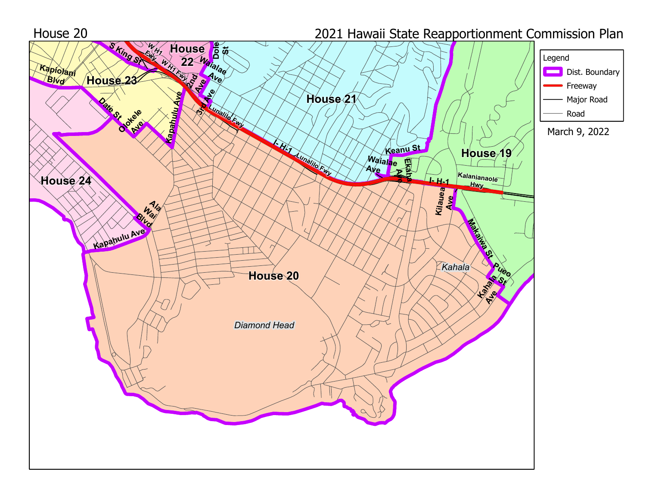